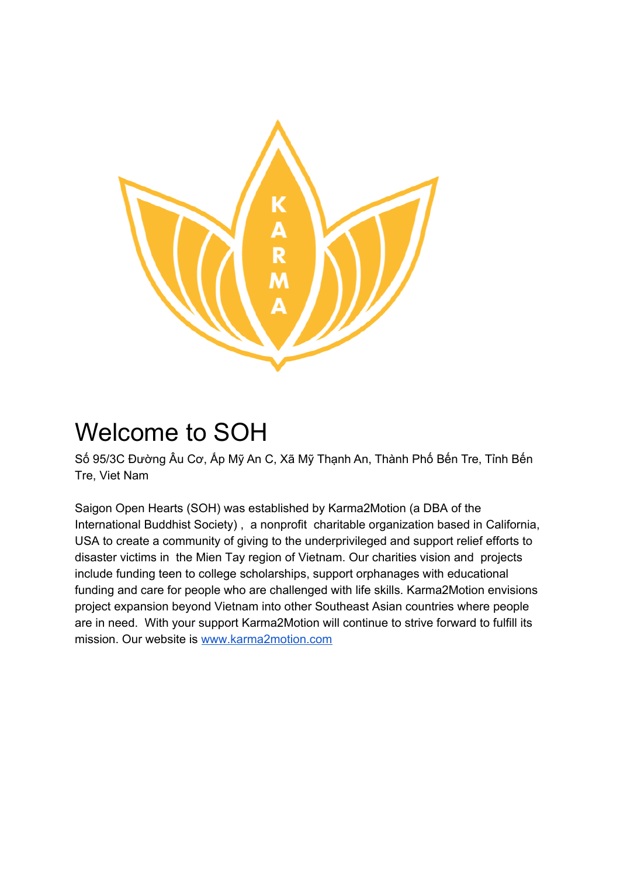

## Welcome to SOH

Số 95/3C Đường Âu Cơ, Ấp Mỹ An C, Xã Mỹ Thạnh An, Thành Phố Bến Tre, Tỉnh Bến Tre, Viet Nam

Saigon Open Hearts (SOH) was established by Karma2Motion (a DBA of the International Buddhist Society) , a nonprofit charitable organization based in California, USA to create a community of giving to the underprivileged and support relief efforts to disaster victims in the Mien Tay region of Vietnam. Our charities vision and projects include funding teen to college scholarships, support orphanages with educational funding and care for people who are challenged with life skills. Karma2Motion envisions project expansion beyond Vietnam into other Southeast Asian countries where people are in need. With your support Karma2Motion will continue to strive forward to fulfill its mission. Our website is [www.karma2motion.com](http://www.karma2motion.com/)